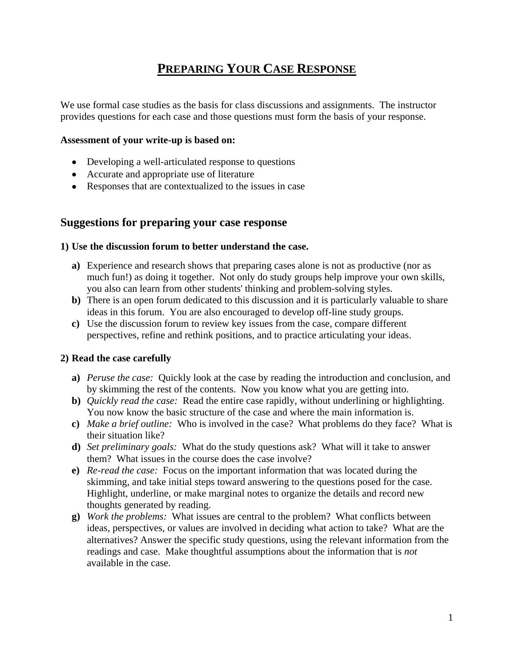## **PREPARING YOUR CASE RESPONSE**

We use formal case studies as the basis for class discussions and assignments. The instructor provides questions for each case and those questions must form the basis of your response.

#### **Assessment of your write-up is based on:**

- Developing a well-articulated response to questions
- Accurate and appropriate use of literature
- Responses that are contextualized to the issues in case

## **Suggestions for preparing your case response**

### **1) Use the discussion forum to better understand the case.**

- **a)** Experience and research shows that preparing cases alone is not as productive (nor as much fun!) as doing it together. Not only do study groups help improve your own skills, you also can learn from other students' thinking and problem-solving styles.
- **b)** There is an open forum dedicated to this discussion and it is particularly valuable to share ideas in this forum. You are also encouraged to develop off-line study groups.
- **c)** Use the discussion forum to review key issues from the case, compare different perspectives, refine and rethink positions, and to practice articulating your ideas.

### **2) Read the case carefully**

- **a)** *Peruse the case:* Quickly look at the case by reading the introduction and conclusion, and by skimming the rest of the contents. Now you know what you are getting into.
- **b)** *Quickly read the case:* Read the entire case rapidly, without underlining or highlighting. You now know the basic structure of the case and where the main information is.
- **c)** *Make a brief outline:* Who is involved in the case? What problems do they face? What is their situation like?
- **d)** *Set preliminary goals:* What do the study questions ask? What will it take to answer them? What issues in the course does the case involve?
- **e)** *Re-read the case:* Focus on the important information that was located during the skimming, and take initial steps toward answering to the questions posed for the case. Highlight, underline, or make marginal notes to organize the details and record new thoughts generated by reading.
- **g)** *Work the problems:* What issues are central to the problem? What conflicts between ideas, perspectives, or values are involved in deciding what action to take? What are the alternatives? Answer the specific study questions, using the relevant information from the readings and case. Make thoughtful assumptions about the information that is *not* available in the case.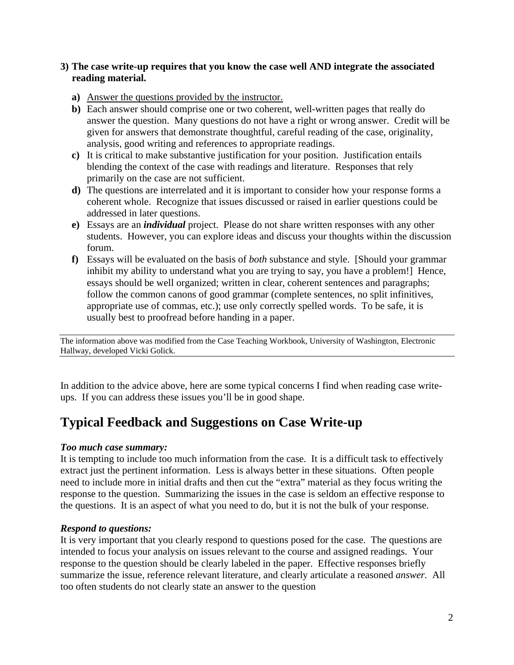## **3) The case write-up requires that you know the case well AND integrate the associated reading material.**

- **a)** Answer the questions provided by the instructor.
- **b)** Each answer should comprise one or two coherent, well-written pages that really do answer the question. Many questions do not have a right or wrong answer. Credit will be given for answers that demonstrate thoughtful, careful reading of the case, originality, analysis, good writing and references to appropriate readings.
- **c)** It is critical to make substantive justification for your position. Justification entails blending the context of the case with readings and literature. Responses that rely primarily on the case are not sufficient.
- **d)** The questions are interrelated and it is important to consider how your response forms a coherent whole. Recognize that issues discussed or raised in earlier questions could be addressed in later questions.
- **e)** Essays are an *individual* project. Please do not share written responses with any other students. However, you can explore ideas and discuss your thoughts within the discussion forum.
- **f)** Essays will be evaluated on the basis of *both* substance and style. [Should your grammar inhibit my ability to understand what you are trying to say, you have a problem!] Hence, essays should be well organized; written in clear, coherent sentences and paragraphs; follow the common canons of good grammar (complete sentences, no split infinitives, appropriate use of commas, etc.); use only correctly spelled words. To be safe, it is usually best to proofread before handing in a paper.

The information above was modified from the Case Teaching Workbook, University of Washington, Electronic Hallway, developed Vicki Golick.

In addition to the advice above, here are some typical concerns I find when reading case writeups. If you can address these issues you'll be in good shape.

# **Typical Feedback and Suggestions on Case Write-up**

### *Too much case summary:*

It is tempting to include too much information from the case. It is a difficult task to effectively extract just the pertinent information. Less is always better in these situations. Often people need to include more in initial drafts and then cut the "extra" material as they focus writing the response to the question. Summarizing the issues in the case is seldom an effective response to the questions. It is an aspect of what you need to do, but it is not the bulk of your response.

### *Respond to questions:*

It is very important that you clearly respond to questions posed for the case. The questions are intended to focus your analysis on issues relevant to the course and assigned readings. Your response to the question should be clearly labeled in the paper. Effective responses briefly summarize the issue, reference relevant literature, and clearly articulate a reasoned *answer.* All too often students do not clearly state an answer to the question